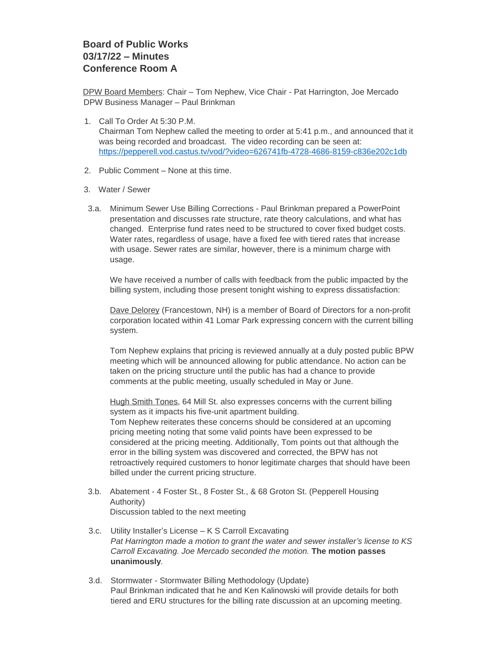## **Board of Public Works 03/17/22 – Minutes Conference Room A**

DPW Board Members: Chair – Tom Nephew, Vice Chair - Pat Harrington, Joe Mercado DPW Business Manager – Paul Brinkman

1. Call To Order At 5:30 P.M.

Chairman Tom Nephew called the meeting to order at 5:41 p.m., and announced that it was being recorded and broadcast. The video recording can be seen at: <https://pepperell.vod.castus.tv/vod/?video=626741fb-4728-4686-8159-c836e202c1db>

- 2. Public Comment None at this time.
- 3. Water / Sewer
- 3.a. Minimum Sewer Use Billing Corrections Paul Brinkman prepared a PowerPoint presentation and discusses rate structure, rate theory calculations, and what has changed. Enterprise fund rates need to be structured to cover fixed budget costs. Water rates, regardless of usage, have a fixed fee with tiered rates that increase with usage. Sewer rates are similar, however, there is a minimum charge with usage.

We have received a number of calls with feedback from the public impacted by the billing system, including those present tonight wishing to express dissatisfaction:

Dave Delorey (Francestown, NH) is a member of Board of Directors for a non-profit corporation located within 41 Lomar Park expressing concern with the current billing system.

Tom Nephew explains that pricing is reviewed annually at a duly posted public BPW meeting which will be announced allowing for public attendance. No action can be taken on the pricing structure until the public has had a chance to provide comments at the public meeting, usually scheduled in May or June.

Hugh Smith Tones, 64 Mill St. also expresses concerns with the current billing system as it impacts his five-unit apartment building.

Tom Nephew reiterates these concerns should be considered at an upcoming pricing meeting noting that some valid points have been expressed to be considered at the pricing meeting. Additionally, Tom points out that although the error in the billing system was discovered and corrected, the BPW has not retroactively required customers to honor legitimate charges that should have been billed under the current pricing structure.

- 3.b. Abatement 4 Foster St., 8 Foster St., & 68 Groton St. (Pepperell Housing Authority) Discussion tabled to the next meeting
- 3.c. Utility Installer's License K S Carroll Excavating *Pat Harrington made a motion to grant the water and sewer installer's license to KS Carroll Excavating. Joe Mercado seconded the motion.* **The motion passes unanimously***.*
- 3.d. Stormwater Stormwater Billing Methodology (Update) Paul Brinkman indicated that he and Ken Kalinowski will provide details for both tiered and ERU structures for the billing rate discussion at an upcoming meeting.